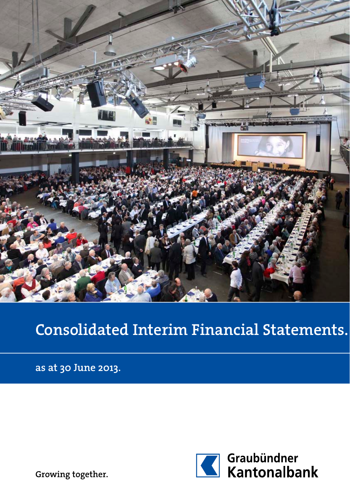

# Consolidated Interim Financial Statements.

as at 30 June 2013.



Growing together.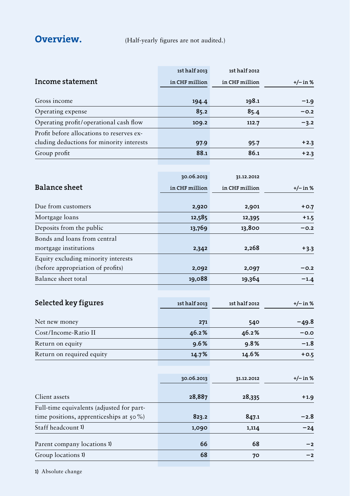**Overview.** (Half-yearly figures are not audited.)

|                                           | 1st half 2013  | 1st half 2012  |            |
|-------------------------------------------|----------------|----------------|------------|
| Income statement                          | in CHF million | in CHF million | $+/-$ in % |
| Gross income                              | 194.4          | 198.1          | $-1.9$     |
| Operating expense                         | 85.2           | 85.4           | $-0.2$     |
| Operating profit/operational cash flow    | 109.2          | 112.7          | $-3.2$     |
| Profit before allocations to reserves ex- |                |                |            |
| cluding deductions for minority interests | 97.9           | 95.7           | $+2.3$     |
| Group profit                              | 88.1           | 86.1           | $+2.3$     |
|                                           |                |                |            |
|                                           | 30.06.2013     | 31.12.2012     |            |
| <b>Balance sheet</b>                      | in CHF million | in CHF million | $+/-$ in % |
| Due from customers                        | 2,920          | 2,901          | $+0.7$     |
| Mortgage loans                            | 12,585         | 12,395         | $+1.5$     |
| Deposits from the public                  | 13,769         | 13,800         | $-0.2$     |
| Bonds and loans from central              |                |                |            |
| mortgage institutions                     | 2,342          | 2,268          | $+3.3$     |
| Equity excluding minority interests       |                |                |            |
| (before appropriation of profits)         | 2,092          | 2,097          | $-0.2$     |
| Balance sheet total                       | 19,088         | 19,364         | $-1.4$     |
|                                           |                |                |            |
| Selected key figures                      | 1st half 2013  | 1st half 2012  | $+/-$ in % |
| Net new money                             | 271            | 540            | -49.8      |
| Cost/Income-Ratio II                      | 46.2%          | 46.2%          | $-0.0$     |
| Return on equity                          | 9.6%           | 9.8%           | $-1.8$     |
| Return on required equity                 | 14.7%          | 14.6%          | $+0.5$     |
|                                           |                |                |            |
|                                           | 30.06.2013     | 31.12.2012     | +/– in %   |
| Client assets                             | 28,887         | 28,335         | $+1.9$     |
| Full-time equivalents (adjusted for part- |                |                |            |
| time positions, apprenticeships at 50%)   | 823.2          | 847.1          | $-2.8$     |
| Staff headcount 1)                        | 1,090          | 1,114          | -24        |
|                                           |                |                |            |
| Parent company locations 1)               | 66             | 68             | $-2$       |
| Group locations 1)                        | 68             | 70             | $-2$       |

1) Absolute change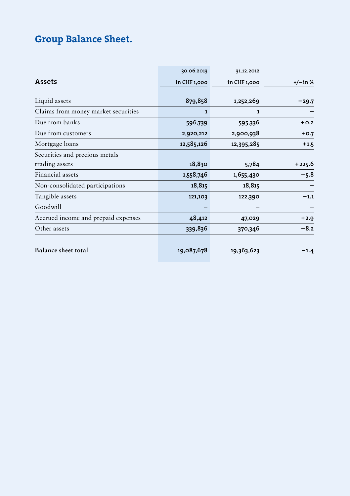## Group Balance Sheet.

|                                     | 30.06.2013   | 31.12.2012   |            |
|-------------------------------------|--------------|--------------|------------|
| Assets                              | in CHF 1,000 | in CHF 1,000 | $+/- in %$ |
| Liquid assets                       | 879,858      | 1,252,269    | $-29.7$    |
| Claims from money market securities | $\mathbf{1}$ | 1            |            |
| Due from banks                      | 596,739      | 595,336      | $+0.2$     |
| Due from customers                  | 2,920,212    | 2,900,938    | $+0.7$     |
| Mortgage loans                      | 12,585,126   | 12,395,285   | $+1.5$     |
| Securities and precious metals      |              |              |            |
| trading assets                      | 18,830       | 5,784        | $+225.6$   |
| Financial assets                    | 1,558,746    | 1,655,430    | $-5.8$     |
| Non-consolidated participations     | 18,815       | 18,815       |            |
| Tangible assets                     | 121,103      | 122,390      | $-1.1$     |
| Goodwill                            |              |              |            |
| Accrued income and prepaid expenses | 48,412       | 47,029       | $+2.9$     |
| Other assets                        | 339,836      | 370,346      | $-8.2$     |
|                                     |              |              |            |
| Balance sheet total                 | 19,087,678   | 19,363,623   | $-1.4$     |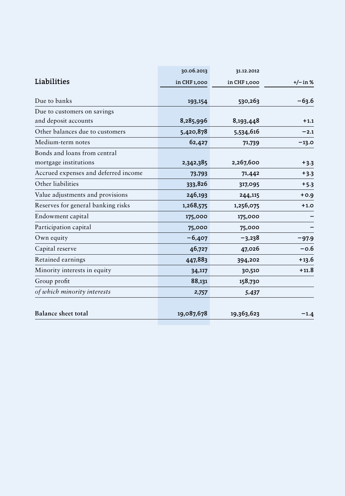|                                      | 30.06.2013   | 31.12.2012   |         |
|--------------------------------------|--------------|--------------|---------|
| Liabilities                          | in CHF 1,000 | in CHF 1,000 | +/-in%  |
| Due to banks                         | 193,154      | 530,263      | $-63.6$ |
| Due to customers on savings          |              |              |         |
| and deposit accounts                 | 8,285,996    | 8,193,448    | $+1.1$  |
| Other balances due to customers      | 5,420,878    | 5,534,616    | $-2.1$  |
| Medium-term notes                    | 62,427       | 71,739       | $-13.0$ |
| Bonds and loans from central         |              |              |         |
| mortgage institutions                | 2,342,385    | 2,267,600    | $+3.3$  |
| Accrued expenses and deferred income | 73,793       | 71,442       | $+3.3$  |
| Other liabilities                    | 333,826      | 317,095      | $+5.3$  |
| Value adjustments and provisions     | 246,193      | 244,115      | $+0.9$  |
| Reserves for general banking risks   | 1,268,575    | 1,256,075    | $+1.0$  |
| Endowment capital                    | 175,000      | 175,000      |         |
| Participation capital                | 75,000       | 75,000       |         |
| Own equity                           | $-6,407$     | $-3,238$     | $-97.9$ |
| Capital reserve                      | 46,727       | 47,026       | $-0.6$  |
| Retained earnings                    | 447,883      | 394,202      | $+13.6$ |
| Minority interests in equity         | 34,117       | 30,510       | $+11.8$ |
| Group profit                         | 88,131       | 158,730      |         |
| of which minority interests          | 2,757        | 5,437        |         |
| <b>Balance sheet total</b>           | 19,087,678   | 19,363,623   | $-1.4$  |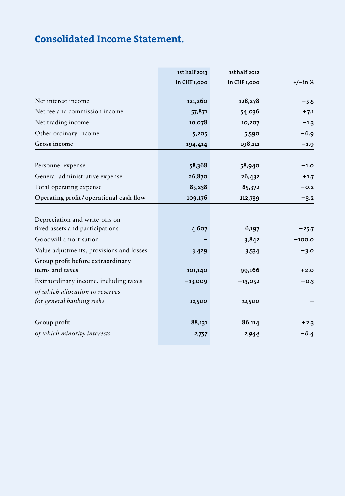## Consolidated Income Statement.

| 1st half 2013 | 1st half 2012 |            |
|---------------|---------------|------------|
| in CHF 1,000  | in CHF 1,000  | $+/-$ in % |
|               |               |            |
|               |               | $-5.5$     |
| 57,871        | 54,036        | $+7.1$     |
| 10,078        | 10,207        | $-1.3$     |
| 5,205         | 5,590         | $-6.9$     |
| 194,414       | 198,111       | $-1.9$     |
|               |               |            |
| 58,368        | 58,940        | $-1.0$     |
| 26,870        | 26,432        | $+1.7$     |
| 85,238        | 85,372        | $-0.2$     |
| 109,176       | 112,739       | $-3.2$     |
|               |               |            |
|               |               |            |
| 4,607         | 6,197         | $-25.7$    |
|               | 3,842         | $-100.0$   |
| 3,429         | 3,534         | $-3.0$     |
|               |               |            |
| 101,140       | 99,166        | $+2.0$     |
| $-13,009$     | $-13,052$     | $-0.3$     |
|               |               |            |
| 12,500        | 12,500        |            |
|               |               |            |
| 88,131        | 86,114        | $+2.3$     |
| 2,757         | 2,944         | $-6.4$     |
|               | 121,260       | 128,278    |